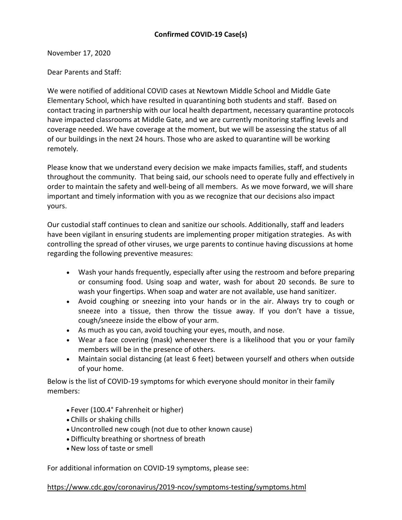November 17, 2020

Dear Parents and Staff:

We were notified of additional COVID cases at Newtown Middle School and Middle Gate Elementary School, which have resulted in quarantining both students and staff. Based on contact tracing in partnership with our local health department, necessary quarantine protocols have impacted classrooms at Middle Gate, and we are currently monitoring staffing levels and coverage needed. We have coverage at the moment, but we will be assessing the status of all of our buildings in the next 24 hours. Those who are asked to quarantine will be working remotely.

Please know that we understand every decision we make impacts families, staff, and students throughout the community. That being said, our schools need to operate fully and effectively in order to maintain the safety and well-being of all members. As we move forward, we will share important and timely information with you as we recognize that our decisions also impact yours.

Our custodial staff continues to clean and sanitize our schools. Additionally, staff and leaders have been vigilant in ensuring students are implementing proper mitigation strategies. As with controlling the spread of other viruses, we urge parents to continue having discussions at home regarding the following preventive measures:

- Wash your hands frequently, especially after using the restroom and before preparing or consuming food. Using soap and water, wash for about 20 seconds. Be sure to wash your fingertips. When soap and water are not available, use hand sanitizer.
- Avoid coughing or sneezing into your hands or in the air. Always try to cough or sneeze into a tissue, then throw the tissue away. If you don't have a tissue, cough/sneeze inside the elbow of your arm.
- As much as you can, avoid touching your eyes, mouth, and nose.
- Wear a face covering (mask) whenever there is a likelihood that you or your family members will be in the presence of others.
- Maintain social distancing (at least 6 feet) between yourself and others when outside of your home.

Below is the list of COVID-19 symptoms for which everyone should monitor in their family members:

- Fever (100.4° Fahrenheit or higher)
- Chills or shaking chills
- Uncontrolled new cough (not due to other known cause)
- Difficulty breathing or shortness of breath
- New loss of taste or smell

For additional information on COVID-19 symptoms, please see:

## [https://www.cdc.gov/coronavirus/2019-ncov/symptoms-testing/symptoms.html](http://track.spe.schoolmessenger.com/f/a/w2NvpEl1XshevuYglYq4cw%7E%7E/AAAAAQA%7E/RgRhQj9DP0RIaHR0cHM6Ly93d3cuY2RjLmdvdi9jb3JvbmF2aXJ1cy8yMDE5LW5jb3Yvc3ltcHRvbXMtdGVzdGluZy9zeW1wdG9tcy5odG1sVwdzY2hvb2xtQgoARsMLYV__REyRUhtyb2RyaWd1ZWxAbmV3dG93bi5rMTIuY3QudXNYBAAAAAE%7E)